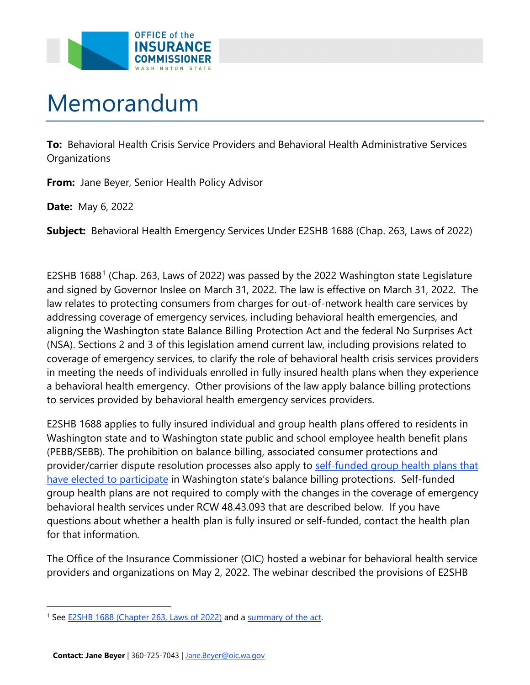

## Memorandum

 **To:** Behavioral Health Crisis Service Providers and Behavioral Health Administrative Services **Organizations** 

**From:** Jane Beyer, Senior Health Policy Advisor

**Date:** May 6, 2022

**Subject:** Behavioral Health Emergency Services Under E2SHB 1688 (Chap. 263, Laws of 2022)

 and signed by Governor Inslee on March 31, 2022. The law is effective on March 31, 2022. The E2SHB [1](#page-0-0)688<sup>1</sup> (Chap. 263, Laws of 2022) was passed by the 2022 Washington state Legislature law relates to protecting consumers from charges for out-of-network health care services by addressing coverage of emergency services, including behavioral health emergencies, and aligning the Washington state Balance Billing Protection Act and the federal No Surprises Act (NSA). Sections 2 and 3 of this legislation amend current law, including provisions related to coverage of emergency services, to clarify the role of behavioral health crisis services providers in meeting the needs of individuals enrolled in fully insured health plans when they experience a behavioral health emergency. Other provisions of the law apply balance billing protections to services provided by behavioral health emergency services providers.

 behavioral health services under RCW 48.43.093 that are described below. If you have E2SHB 1688 applies to fully insured individual and group health plans offered to residents in Washington state and to Washington state public and school employee health benefit plans (PEBB/SEBB). The prohibition on balance billing, associated consumer protections and provider/carrier dispute resolution processes also apply to self-funded group health plans that [have elected to participate](https://www.insurance.wa.gov/self-funded-group-health-plans) in Washington state's balance billing protections. Self-funded group health plans are not required to comply with the changes in the coverage of emergency questions about whether a health plan is fully insured or self-funded, contact the health plan for that information.

The Office of the Insurance Commissioner (OIC) hosted a webinar for behavioral health service providers and organizations on May 2, 2022. The webinar described the provisions of E2SHB

<span id="page-0-0"></span><sup>&</sup>lt;sup>1</sup> See **E2SHB 1688** (Chapter 263, Laws of 2022) and a summary of the act.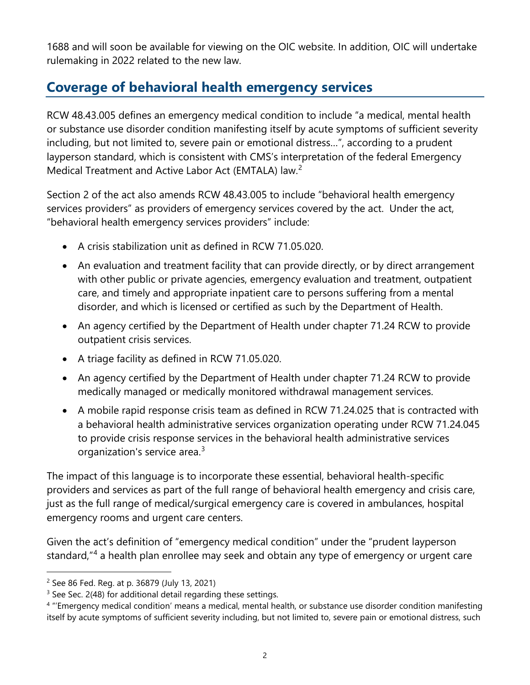1688 and will soon be available for viewing on the OIC website. In addition, OIC will undertake rulemaking in 2022 related to the new law.

## **Coverage of behavioral health emergency services**

RCW 48.43.005 defines an emergency medical condition to include "a medical, mental health or substance use disorder condition manifesting itself by acute symptoms of sufficient severity including, but not limited to, severe pain or emotional distress…", according to a prudent layperson standard, which is consistent with CMS's interpretation of the federal Emergency Medical Treatment and Active Labor Act (EMTALA) law.<sup>[2](#page-1-0)</sup>

Section 2 of the act also amends RCW 48.43.005 to include "behavioral health emergency services providers" as providers of emergency services covered by the act. Under the act, "behavioral health emergency services providers" include:

- A crisis stabilization unit as defined in RCW 71.05.020.
- An evaluation and treatment facility that can provide directly, or by direct arrangement with other public or private agencies, emergency evaluation and treatment, outpatient care, and timely and appropriate inpatient care to persons suffering from a mental disorder, and which is licensed or certified as such by the Department of Health.
- An agency certified by the Department of Health under chapter 71.24 RCW to provide outpatient crisis services.
- A triage facility as defined in RCW 71.05.020.
- An agency certified by the Department of Health under chapter 71.24 RCW to provide medically managed or medically monitored withdrawal management services.
- A mobile rapid response crisis team as defined in RCW 71.24.025 that is contracted with a behavioral health administrative services organization operating under RCW 71.24.045 to provide crisis response services in the behavioral health administrative services organization's service area.<sup>[3](#page-1-1)</sup>

 just as the full range of medical/surgical emergency care is covered in ambulances, hospital The impact of this language is to incorporate these essential, behavioral health-specific providers and services as part of the full range of behavioral health emergency and crisis care, emergency rooms and urgent care centers.

Given the act's definition of "emergency medical condition" under the "prudent layperson standard,"<sup>[4](#page-1-2)</sup> a health plan enrollee may seek and obtain any type of emergency or urgent care

<span id="page-1-0"></span> $2$  See 86 Fed. Reg. at p. 36879 (July 13, 2021)

<span id="page-1-1"></span><sup>&</sup>lt;sup>3</sup> See Sec. 2(48) for additional detail regarding these settings.

<span id="page-1-2"></span> itself by acute symptoms of sufficient severity including, but not limited to, severe pain or emotional distress, such <sup>4</sup> "'Emergency medical condition' means a medical, mental health, or substance use disorder condition manifesting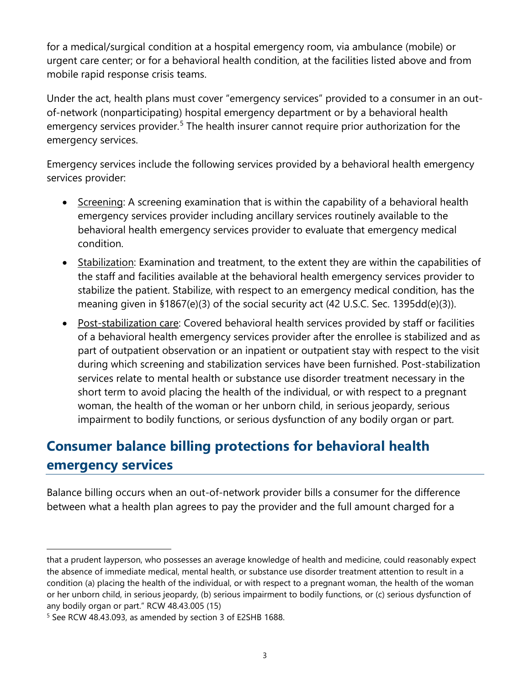for a medical/surgical condition at a hospital emergency room, via ambulance (mobile) or urgent care center; or for a behavioral health condition, at the facilities listed above and from mobile rapid response crisis teams.

Under the act, health plans must cover "emergency services" provided to a consumer in an outof-network (nonparticipating) hospital emergency department or by a behavioral health emergency services provider.<sup>[5](#page-2-0)</sup> The health insurer cannot require prior authorization for the emergency services.

Emergency services include the following services provided by a behavioral health emergency services provider:

- Screening: A screening examination that is within the capability of a behavioral health emergency services provider including ancillary services routinely available to the behavioral health emergency services provider to evaluate that emergency medical condition.
- Stabilization: Examination and treatment, to the extent they are within the capabilities of the staff and facilities available at the behavioral health emergency services provider to stabilize the patient. Stabilize, with respect to an emergency medical condition, has the meaning given in §1867(e)(3) of the social security act (42 U.S.C. Sec. 1395dd(e)(3)).
- Post-stabilization care: Covered behavioral health services provided by staff or facilities of a behavioral health emergency services provider after the enrollee is stabilized and as part of outpatient observation or an inpatient or outpatient stay with respect to the visit during which screening and stabilization services have been furnished. Post-stabilization services relate to mental health or substance use disorder treatment necessary in the short term to avoid placing the health of the individual, or with respect to a pregnant woman, the health of the woman or her unborn child, in serious jeopardy, serious impairment to bodily functions, or serious dysfunction of any bodily organ or part.

## **Consumer balance billing protections for behavioral health emergency services**

Balance billing occurs when an out-of-network provider bills a consumer for the difference between what a health plan agrees to pay the provider and the full amount charged for a

 the absence of immediate medical, mental health, or substance use disorder treatment attention to result in a that a prudent layperson, who possesses an average knowledge of health and medicine, could reasonably expect condition (a) placing the health of the individual, or with respect to a pregnant woman, the health of the woman or her unborn child, in serious jeopardy, (b) serious impairment to bodily functions, or (c) serious dysfunction of any bodily organ or part." RCW 48.43.005 (15)

<span id="page-2-0"></span><sup>5</sup> See RCW 48.43.093, as amended by section 3 of E2SHB 1688.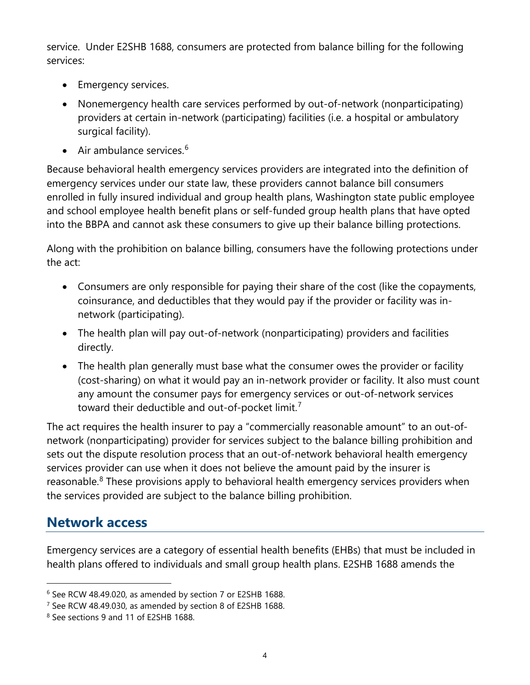service. Under E2SHB 1688, consumers are protected from balance billing for the following services:

- **Emergency services.**
- Nonemergency health care services performed by out-of-network (nonparticipating) providers at certain in-network (participating) facilities (i.e. a hospital or ambulatory surgical facility).
- Air ambulance services. $6$

Because behavioral health emergency services providers are integrated into the definition of emergency services under our state law, these providers cannot balance bill consumers enrolled in fully insured individual and group health plans, Washington state public employee and school employee health benefit plans or self-funded group health plans that have opted into the BBPA and cannot ask these consumers to give up their balance billing protections.

Along with the prohibition on balance billing, consumers have the following protections under the act:

- coinsurance, and deductibles that they would pay if the provider or facility was in-• Consumers are only responsible for paying their share of the cost (like the copayments, network (participating).
- The health plan will pay out-of-network (nonparticipating) providers and facilities directly.
- • The health plan generally must base what the consumer owes the provider or facility (cost-sharing) on what it would pay an in-network provider or facility. It also must count any amount the consumer pays for emergency services or out-of-network services toward their deductible and out-of-pocket limit.<sup>[7](#page-3-1)</sup>

The act requires the health insurer to pay a "commercially reasonable amount" to an out-ofnetwork (nonparticipating) provider for services subject to the balance billing prohibition and sets out the dispute resolution process that an out-of-network behavioral health emergency services provider can use when it does not believe the amount paid by the insurer is reasonable.<sup>[8](#page-3-2)</sup> These provisions apply to behavioral health emergency services providers when the services provided are subject to the balance billing prohibition.

## **Network access**

Emergency services are a category of essential health benefits (EHBs) that must be included in health plans offered to individuals and small group health plans. E2SHB 1688 amends the

<span id="page-3-0"></span><sup>6</sup> See RCW 48.49.020, as amended by section 7 or E2SHB 1688.

<span id="page-3-1"></span><sup>7</sup> See RCW 48.49.030, as amended by section 8 of E2SHB 1688.

<span id="page-3-2"></span><sup>8</sup> See sections 9 and 11 of E2SHB 1688.